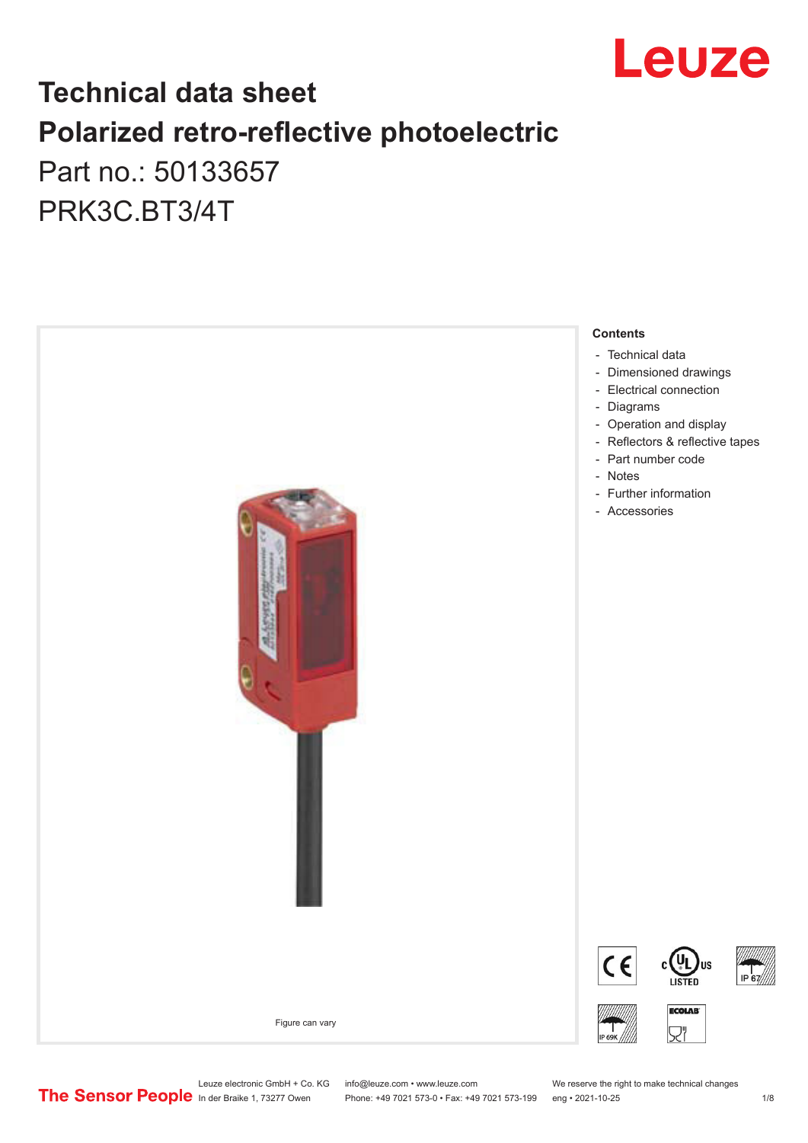

# **Technical data sheet Polarized retro-reflective photoelectric**  Part no.: 50133657

PRK3C.BT3/4T



Leuze electronic GmbH + Co. KG info@leuze.com • www.leuze.com We reserve the right to make technical changes<br>
The Sensor People in der Braike 1, 73277 Owen Phone: +49 7021 573-0 • Fax: +49 7021 573-199 eng • 2021-10-25

Phone: +49 7021 573-0 • Fax: +49 7021 573-199 eng • 2021-10-25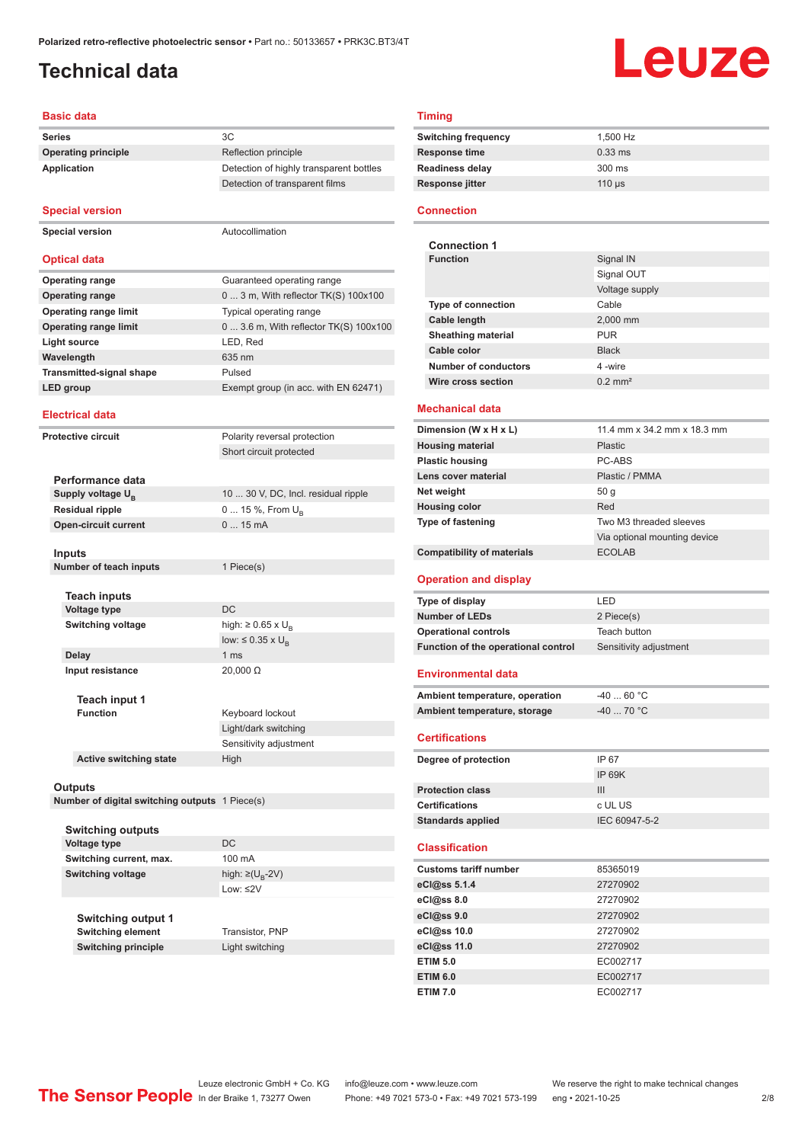# <span id="page-1-0"></span>**Technical data**

# Leuze

#### **Basic data**

| Series                          |                                                | 3C                                      |
|---------------------------------|------------------------------------------------|-----------------------------------------|
| <b>Operating principle</b>      |                                                | Reflection principle                    |
| <b>Application</b>              |                                                | Detection of highly transparent bottles |
|                                 |                                                | Detection of transparent films          |
|                                 |                                                |                                         |
| <b>Special version</b>          |                                                |                                         |
| <b>Special version</b>          |                                                | Autocollimation                         |
|                                 |                                                |                                         |
| <b>Optical data</b>             |                                                |                                         |
| <b>Operating range</b>          |                                                | Guaranteed operating range              |
| <b>Operating range</b>          |                                                | 0  3 m, With reflector TK(S) 100x100    |
| <b>Operating range limit</b>    |                                                | Typical operating range                 |
| <b>Operating range limit</b>    |                                                | 0  3.6 m, With reflector TK(S) 100x100  |
| <b>Light source</b>             |                                                | LED, Red                                |
| Wavelength                      |                                                | 635 nm                                  |
| <b>Transmitted-signal shape</b> |                                                | Pulsed                                  |
| <b>LED</b> group                |                                                | Exempt group (in acc. with EN 62471)    |
|                                 |                                                |                                         |
| <b>Electrical data</b>          |                                                |                                         |
| <b>Protective circuit</b>       |                                                | Polarity reversal protection            |
|                                 |                                                | Short circuit protected                 |
|                                 |                                                |                                         |
| Performance data                |                                                |                                         |
| Supply voltage U <sub>B</sub>   |                                                | 10  30 V, DC, Incl. residual ripple     |
| <b>Residual ripple</b>          |                                                | 0  15 %, From U <sub>B</sub>            |
| <b>Open-circuit current</b>     |                                                | $015$ mA                                |
|                                 |                                                |                                         |
| Inputs                          | Number of teach inputs                         | 1 Piece(s)                              |
|                                 |                                                |                                         |
| <b>Teach inputs</b>             |                                                |                                         |
| <b>Voltage type</b>             |                                                | DC                                      |
| <b>Switching voltage</b>        |                                                | high: $\geq 0.65$ x U <sub>B</sub>      |
|                                 |                                                | low: $\leq 0.35 \times U_{\rm B}$       |
| <b>Delay</b>                    |                                                | 1 <sub>ms</sub>                         |
| Input resistance                |                                                | $20,000 \Omega$                         |
|                                 |                                                |                                         |
|                                 | Teach input 1                                  |                                         |
| <b>Function</b>                 |                                                | Keyboard lockout                        |
|                                 |                                                | Light/dark switching                    |
|                                 |                                                | Sensitivity adjustment                  |
|                                 | <b>Active switching state</b>                  | High                                    |
|                                 |                                                |                                         |
| Outputs                         | Number of digital switching outputs 1 Piece(s) |                                         |
|                                 |                                                |                                         |
|                                 | <b>Switching outputs</b>                       |                                         |
| Voltage type                    |                                                | DC                                      |
| Switching current, max.         |                                                | 100 mA                                  |
| <b>Switching voltage</b>        |                                                | high: ≥( $U_{\rm R}$ -2V)               |
|                                 |                                                | Low: ≤2V                                |
|                                 |                                                |                                         |
|                                 | <b>Switching output 1</b>                      |                                         |
|                                 | <b>Switching element</b>                       | Transistor, PNP                         |
|                                 | <b>Switching principle</b>                     | Light switching                         |

#### **Timing**

| <b>Switching frequency</b> | 1,500 Hz         |
|----------------------------|------------------|
| Response time              | $0.33$ ms        |
| Readiness delay            | $300 \text{ ms}$ |
| Response jitter            | $110$ us         |
|                            |                  |

#### **Connection**

| <b>Connection 1</b>       |                    |
|---------------------------|--------------------|
| <b>Function</b>           | Signal IN          |
|                           | Signal OUT         |
|                           | Voltage supply     |
| <b>Type of connection</b> | Cable              |
| <b>Cable length</b>       | 2,000 mm           |
| <b>Sheathing material</b> | <b>PUR</b>         |
| Cable color               | <b>Black</b>       |
| Number of conductors      | 4-wire             |
| Wire cross section        | $0.2 \text{ mm}^2$ |

#### **Mechanical data**

| Dimension (W x H x L)             | 11.4 mm x 34.2 mm x 18.3 mm  |  |
|-----------------------------------|------------------------------|--|
| <b>Housing material</b>           | <b>Plastic</b>               |  |
| <b>Plastic housing</b>            | PC-ABS                       |  |
| Lens cover material               | Plastic / PMMA               |  |
| Net weight                        | 50q                          |  |
| <b>Housing color</b>              | Red                          |  |
| <b>Type of fastening</b>          | Two M3 threaded sleeves      |  |
|                                   | Via optional mounting device |  |
| <b>Compatibility of materials</b> | <b>ECOLAB</b>                |  |

#### **Operation and display**

| Type of display                     | I FD                   |
|-------------------------------------|------------------------|
| <b>Number of LEDs</b>               | 2 Piece(s)             |
| <b>Operational controls</b>         | Teach button           |
| Function of the operational control | Sensitivity adjustment |

#### **Environmental data**

| Ambient temperature, operation | -40  60 °C  |
|--------------------------------|-------------|
| Ambient temperature, storage   | $-40$ 70 °C |

#### **Certifications**

| Degree of protection     | IP 67         |
|--------------------------|---------------|
|                          | IP 69K        |
| <b>Protection class</b>  | Ш             |
| <b>Certifications</b>    | c UL US       |
| <b>Standards applied</b> | IEC 60947-5-2 |

#### **Classification**

| <b>Customs tariff number</b> | 85365019 |  |
|------------------------------|----------|--|
| eCl@ss 5.1.4                 | 27270902 |  |
| eCl@ss 8.0                   | 27270902 |  |
| eCl@ss 9.0                   | 27270902 |  |
| eCl@ss 10.0                  | 27270902 |  |
| eCl@ss 11.0                  | 27270902 |  |
| <b>ETIM 5.0</b>              | EC002717 |  |
| <b>ETIM 6.0</b>              | EC002717 |  |
| <b>ETIM 7.0</b>              | EC002717 |  |

Leuze electronic GmbH + Co. KG info@leuze.com • www.leuze.com We reserve the right to make technical changes<br>
The Sensor People in der Braike 1, 73277 Owen Phone: +49 7021 573-0 • Fax: +49 7021 573-199 eng • 2021-10-25

Phone: +49 7021 573-0 • Fax: +49 7021 573-199 eng • 2021-10-25 2/8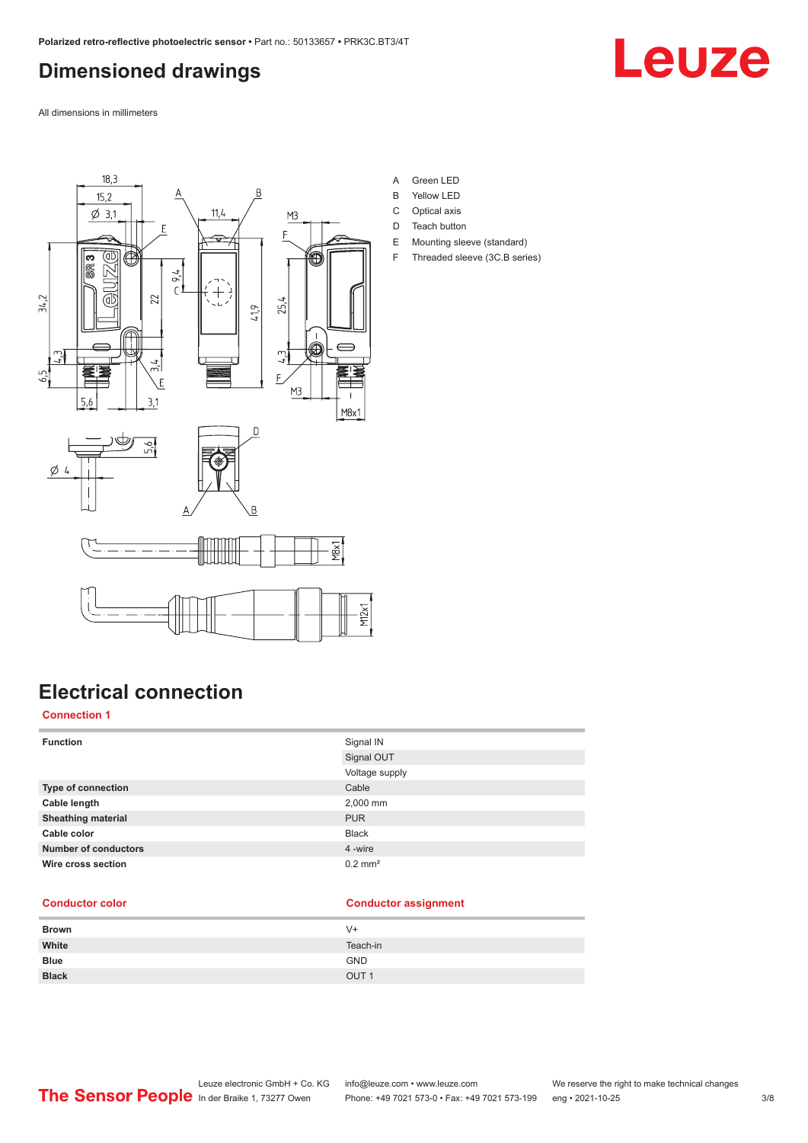# <span id="page-2-0"></span>**Dimensioned drawings**



All dimensions in millimeters



**Electrical connection**

#### **Connection 1**

| <b>Function</b>             | Signal IN             |
|-----------------------------|-----------------------|
|                             | Signal OUT            |
|                             | Voltage supply        |
| <b>Type of connection</b>   | Cable                 |
| Cable length                | 2,000 mm              |
| <b>Sheathing material</b>   | <b>PUR</b>            |
| Cable color                 | <b>Black</b>          |
| <b>Number of conductors</b> | 4 -wire               |
| Wire cross section          | $0.2$ mm <sup>2</sup> |

#### **Conductor color Conductor assignment**

| V+               |
|------------------|
| Teach-in         |
| <b>GND</b>       |
| OUT <sub>1</sub> |
|                  |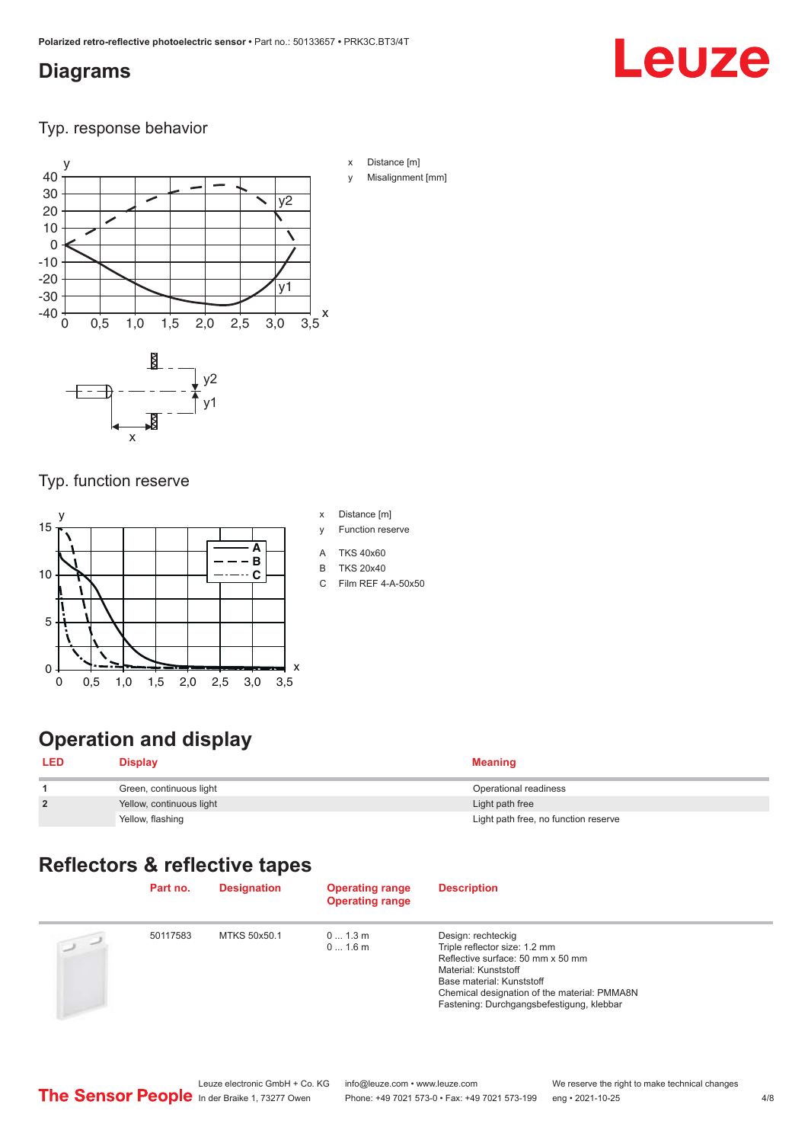## <span id="page-3-0"></span>**Diagrams**

# Leuze

Typ. response behavior



x Distance [m] Misalignment [mm]

#### Typ. function reserve

x



# **Operation and display**

| <b>LED</b>     | <b>Display</b>           | <b>Meaning</b>                       |
|----------------|--------------------------|--------------------------------------|
|                | Green, continuous light  | Operational readiness                |
| $\overline{2}$ | Yellow, continuous light | Light path free                      |
|                | Yellow, flashing         | Light path free, no function reserve |

# **Reflectors & reflective tapes**

|                | Part no. | <b>Designation</b> | <b>Operating range</b><br><b>Operating range</b> | <b>Description</b>                                                                                                                                                                                                                         |
|----------------|----------|--------------------|--------------------------------------------------|--------------------------------------------------------------------------------------------------------------------------------------------------------------------------------------------------------------------------------------------|
| $\overline{u}$ | 50117583 | MTKS 50x50.1       | $01.3$ m<br>$01.6$ m                             | Design: rechteckig<br>Triple reflector size: 1.2 mm<br>Reflective surface: 50 mm x 50 mm<br>Material: Kunststoff<br>Base material: Kunststoff<br>Chemical designation of the material: PMMA8N<br>Fastening: Durchgangsbefestigung, klebbar |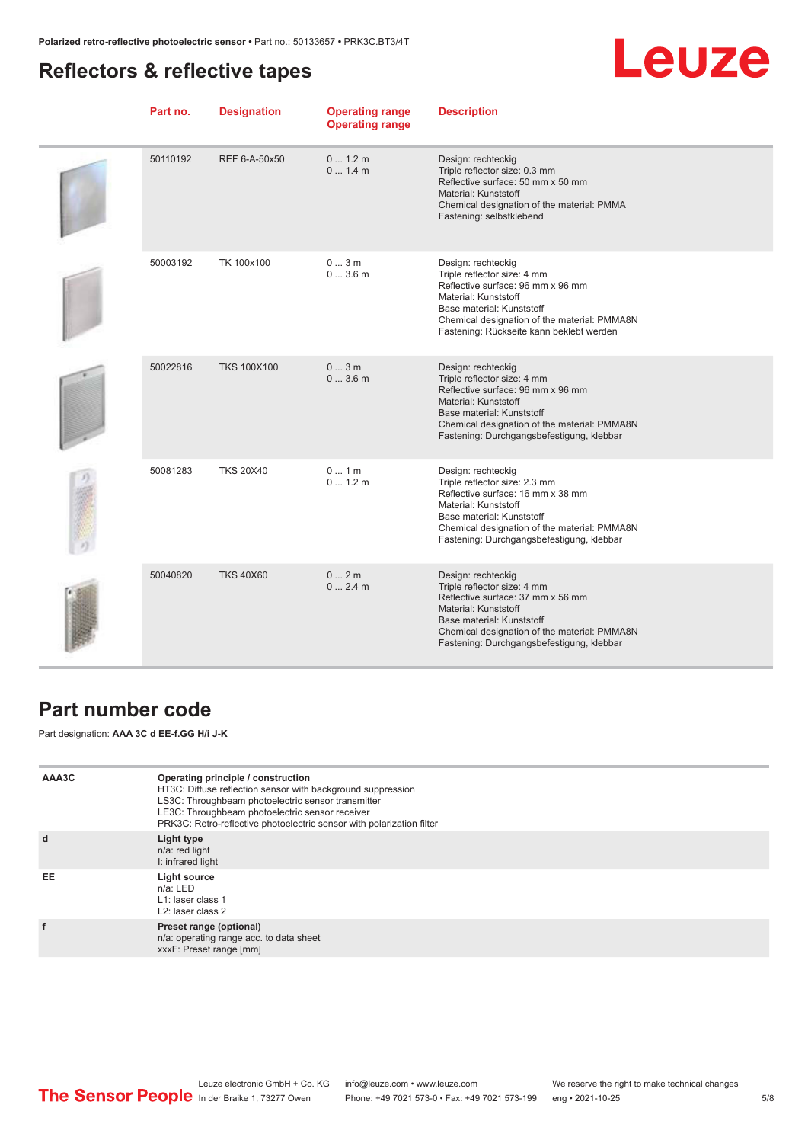# <span id="page-4-0"></span>**Reflectors & reflective tapes**

# Leuze

| Part no. | <b>Designation</b> | <b>Operating range</b><br><b>Operating range</b> | <b>Description</b>                                                                                                                                                                                                                         |
|----------|--------------------|--------------------------------------------------|--------------------------------------------------------------------------------------------------------------------------------------------------------------------------------------------------------------------------------------------|
| 50110192 | REF 6-A-50x50      | 0 1.2 m<br>0 1.4 m                               | Design: rechteckig<br>Triple reflector size: 0.3 mm<br>Reflective surface: 50 mm x 50 mm<br>Material: Kunststoff<br>Chemical designation of the material: PMMA<br>Fastening: selbstklebend                                                 |
| 50003192 | TK 100x100         | 03m<br>03.6m                                     | Design: rechteckig<br>Triple reflector size: 4 mm<br>Reflective surface: 96 mm x 96 mm<br>Material: Kunststoff<br>Base material: Kunststoff<br>Chemical designation of the material: PMMA8N<br>Fastening: Rückseite kann beklebt werden    |
| 50022816 | <b>TKS 100X100</b> | 03m<br>03.6m                                     | Design: rechteckig<br>Triple reflector size: 4 mm<br>Reflective surface: 96 mm x 96 mm<br>Material: Kunststoff<br>Base material: Kunststoff<br>Chemical designation of the material: PMMA8N<br>Fastening: Durchgangsbefestigung, klebbar   |
| 50081283 | <b>TKS 20X40</b>   | 01m<br>01.2m                                     | Design: rechteckig<br>Triple reflector size: 2.3 mm<br>Reflective surface: 16 mm x 38 mm<br>Material: Kunststoff<br>Base material: Kunststoff<br>Chemical designation of the material: PMMA8N<br>Fastening: Durchgangsbefestigung, klebbar |
| 50040820 | <b>TKS 40X60</b>   | 02m<br>02.4m                                     | Design: rechteckig<br>Triple reflector size: 4 mm<br>Reflective surface: 37 mm x 56 mm<br>Material: Kunststoff<br>Base material: Kunststoff<br>Chemical designation of the material: PMMA8N<br>Fastening: Durchgangsbefestigung, klebbar   |

# **Part number code**

Part designation: **AAA 3C d EE-f.GG H/i J-K**

| AAA3C | Operating principle / construction<br>HT3C: Diffuse reflection sensor with background suppression<br>LS3C: Throughbeam photoelectric sensor transmitter<br>LE3C: Throughbeam photoelectric sensor receiver<br>PRK3C: Retro-reflective photoelectric sensor with polarization filter |
|-------|-------------------------------------------------------------------------------------------------------------------------------------------------------------------------------------------------------------------------------------------------------------------------------------|
| d     | Light type<br>n/a: red light<br>I: infrared light                                                                                                                                                                                                                                   |
| EE    | Light source<br>$n/a$ : LED<br>L1: laser class 1<br>L <sub>2</sub> : laser class 2                                                                                                                                                                                                  |
|       | Preset range (optional)<br>n/a: operating range acc. to data sheet<br>xxxF: Preset range [mm]                                                                                                                                                                                       |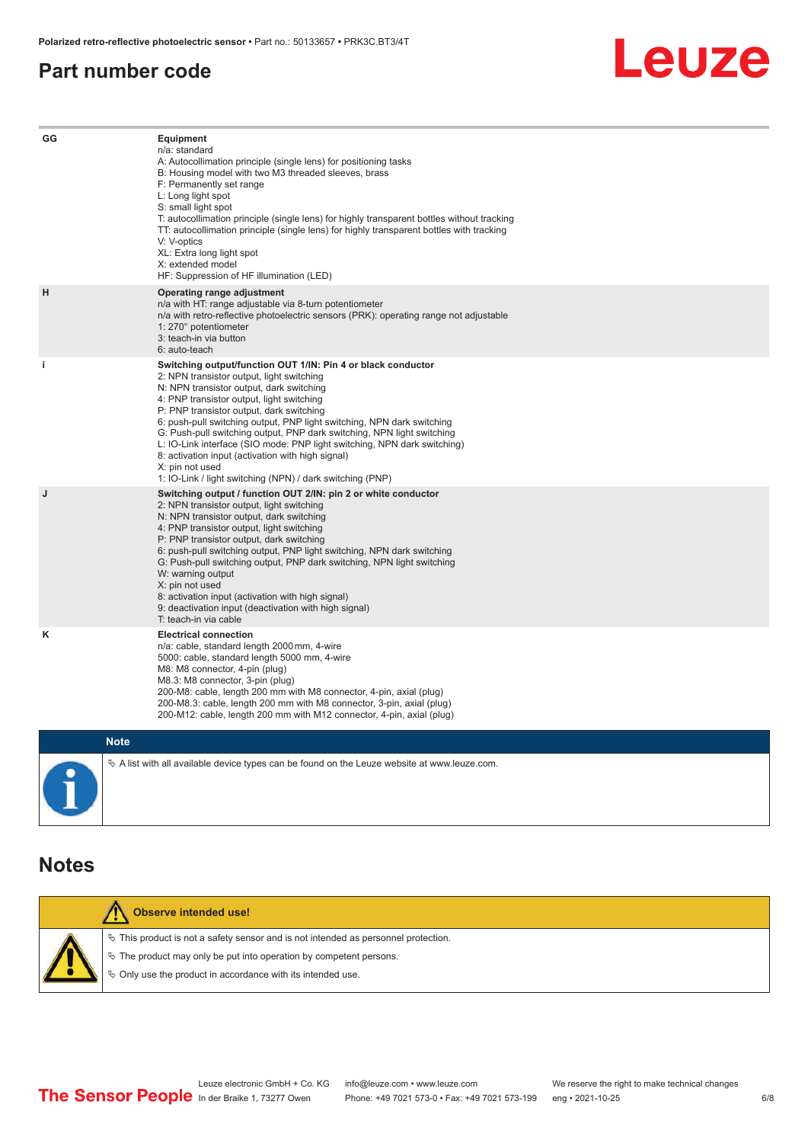#### <span id="page-5-0"></span>**Part number code**



| GG          | Equipment<br>n/a: standard<br>A: Autocollimation principle (single lens) for positioning tasks<br>B: Housing model with two M3 threaded sleeves, brass<br>F: Permanently set range<br>L: Long light spot<br>S: small light spot<br>T: autocollimation principle (single lens) for highly transparent bottles without tracking<br>TT: autocollimation principle (single lens) for highly transparent bottles with tracking<br>V: V-optics<br>XL: Extra long light spot<br>X: extended model<br>HF: Suppression of HF illumination (LED)                                                                              |
|-------------|---------------------------------------------------------------------------------------------------------------------------------------------------------------------------------------------------------------------------------------------------------------------------------------------------------------------------------------------------------------------------------------------------------------------------------------------------------------------------------------------------------------------------------------------------------------------------------------------------------------------|
| н           | Operating range adjustment<br>n/a with HT: range adjustable via 8-turn potentiometer<br>n/a with retro-reflective photoelectric sensors (PRK): operating range not adjustable<br>1: 270° potentiometer<br>3: teach-in via button<br>6: auto-teach                                                                                                                                                                                                                                                                                                                                                                   |
| j.          | Switching output/function OUT 1/IN: Pin 4 or black conductor<br>2: NPN transistor output, light switching<br>N: NPN transistor output, dark switching<br>4: PNP transistor output, light switching<br>P: PNP transistor output, dark switching<br>6: push-pull switching output, PNP light switching, NPN dark switching<br>G: Push-pull switching output, PNP dark switching, NPN light switching<br>L: IO-Link interface (SIO mode: PNP light switching, NPN dark switching)<br>8: activation input (activation with high signal)<br>X: pin not used<br>1: IO-Link / light switching (NPN) / dark switching (PNP) |
| J           | Switching output / function OUT 2/IN: pin 2 or white conductor<br>2: NPN transistor output, light switching<br>N: NPN transistor output, dark switching<br>4: PNP transistor output, light switching<br>P: PNP transistor output, dark switching<br>6: push-pull switching output, PNP light switching, NPN dark switching<br>G: Push-pull switching output, PNP dark switching, NPN light switching<br>W: warning output<br>X: pin not used<br>8: activation input (activation with high signal)<br>9: deactivation input (deactivation with high signal)<br>T: teach-in via cable                                 |
| κ           | <b>Electrical connection</b><br>n/a: cable, standard length 2000 mm, 4-wire<br>5000: cable, standard length 5000 mm, 4-wire<br>M8: M8 connector, 4-pin (plug)<br>M8.3: M8 connector, 3-pin (plug)<br>200-M8: cable, length 200 mm with M8 connector, 4-pin, axial (plug)<br>200-M8.3: cable, length 200 mm with M8 connector, 3-pin, axial (plug)<br>200-M12: cable, length 200 mm with M12 connector, 4-pin, axial (plug)                                                                                                                                                                                          |
| <b>Note</b> |                                                                                                                                                                                                                                                                                                                                                                                                                                                                                                                                                                                                                     |

 $\%$  A list with all available device types can be found on the Leuze website at www.leuze.com.

#### **Notes**

| Observe intended use!                                                                 |
|---------------------------------------------------------------------------------------|
| $\%$ This product is not a safety sensor and is not intended as personnel protection. |
| $\&$ The product may only be put into operation by competent persons.                 |
| ♦ Only use the product in accordance with its intended use.                           |
|                                                                                       |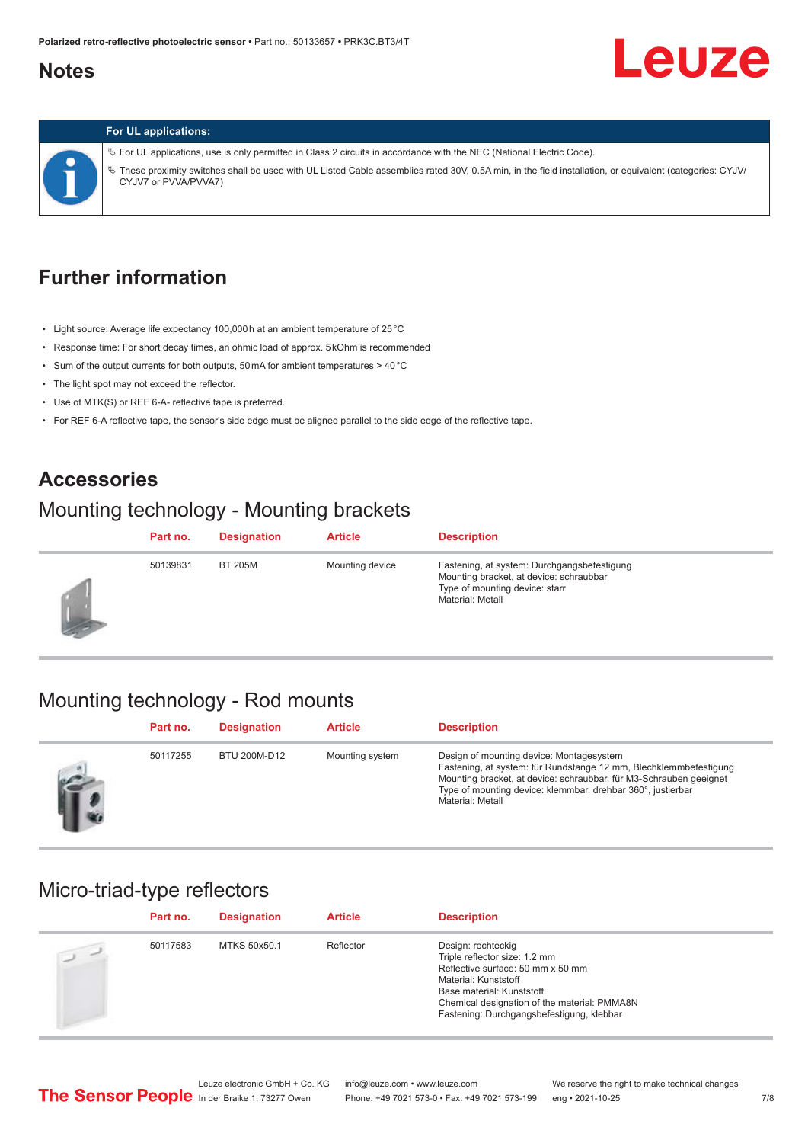# <span id="page-6-0"></span>**Notes**

# Leuze



#### **For UL applications:**

ª For UL applications, use is only permitted in Class 2 circuits in accordance with the NEC (National Electric Code). ª These proximity switches shall be used with UL Listed Cable assemblies rated 30V, 0.5A min, in the field installation, or equivalent (categories: CYJV/ CYJV7 or PVVA/PVVA7)

# **Further information**

- Light source: Average life expectancy 100,000 h at an ambient temperature of 25 °C
- Response time: For short decay times, an ohmic load of approx. 5 kOhm is recommended
- Sum of the output currents for both outputs, 50 mA for ambient temperatures > 40 °C
- The light spot may not exceed the reflector.
- Use of MTK(S) or REF 6-A- reflective tape is preferred.
- For REF 6-A reflective tape, the sensor's side edge must be aligned parallel to the side edge of the reflective tape.

#### **Accessories**

## Mounting technology - Mounting brackets

|    | Part no. | <b>Designation</b> | <b>Article</b>  | <b>Description</b>                                                                                                                           |
|----|----------|--------------------|-----------------|----------------------------------------------------------------------------------------------------------------------------------------------|
| 53 | 50139831 | <b>BT 205M</b>     | Mounting device | Fastening, at system: Durchgangsbefestigung<br>Mounting bracket, at device: schraubbar<br>Type of mounting device: starr<br>Material: Metall |

## Mounting technology - Rod mounts

| Part no. | <b>Designation</b> | <b>Article</b>  | <b>Description</b>                                                                                                                                                                                                                                                     |
|----------|--------------------|-----------------|------------------------------------------------------------------------------------------------------------------------------------------------------------------------------------------------------------------------------------------------------------------------|
| 50117255 | BTU 200M-D12       | Mounting system | Design of mounting device: Montagesystem<br>Fastening, at system: für Rundstange 12 mm, Blechklemmbefestigung<br>Mounting bracket, at device: schraubbar, für M3-Schrauben geeignet<br>Type of mounting device: klemmbar, drehbar 360°, justierbar<br>Material: Metall |

#### Micro-triad-type reflectors

| Part no. | <b>Designation</b> | <b>Article</b> | <b>Description</b>                                                                                                                                                                                                                         |
|----------|--------------------|----------------|--------------------------------------------------------------------------------------------------------------------------------------------------------------------------------------------------------------------------------------------|
| 50117583 | MTKS 50x50.1       | Reflector      | Design: rechteckig<br>Triple reflector size: 1.2 mm<br>Reflective surface: 50 mm x 50 mm<br>Material: Kunststoff<br>Base material: Kunststoff<br>Chemical designation of the material: PMMA8N<br>Fastening: Durchgangsbefestigung, klebbar |